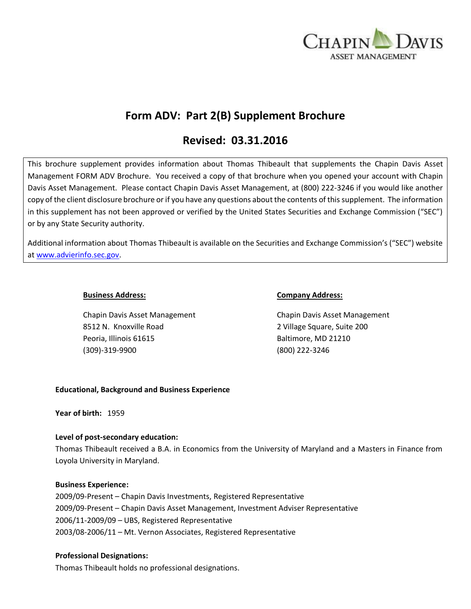

# **Form ADV: Part 2(B) Supplement Brochure**

# **Revised: 03.31.2016**

This brochure supplement provides information about Thomas Thibeault that supplements the Chapin Davis Asset Management FORM ADV Brochure. You received a copy of that brochure when you opened your account with Chapin Davis Asset Management. Please contact Chapin Davis Asset Management, at (800) 222-3246 if you would like another copy of the client disclosure brochure or if you have any questions about the contents of this supplement. The information in this supplement has not been approved or verified by the United States Securities and Exchange Commission ("SEC") or by any State Security authority.

Additional information about Thomas Thibeault is available on the Securities and Exchange Commission's ("SEC") website at [www.advierinfo.sec.gov.](http://www.advierinfo.sec.gov/)

Chapin Davis Asset Management Chapin Davis Asset Management 8512 N. Knoxville Road 2 Village Square, Suite 200 Peoria, Illinois 61615 Baltimore, MD 21210 (309)-319-9900 (800) 222-3246

### **Business Address: Company Address:**

## **Educational, Background and Business Experience**

**Year of birth:** 1959

## **Level of post-secondary education:**

Thomas Thibeault received a B.A. in Economics from the University of Maryland and a Masters in Finance from Loyola University in Maryland.

#### **Business Experience:**

2009/09-Present – Chapin Davis Investments, Registered Representative 2009/09-Present – Chapin Davis Asset Management, Investment Adviser Representative 2006/11-2009/09 – UBS, Registered Representative 2003/08-2006/11 – Mt. Vernon Associates, Registered Representative

#### **Professional Designations:**

Thomas Thibeault holds no professional designations.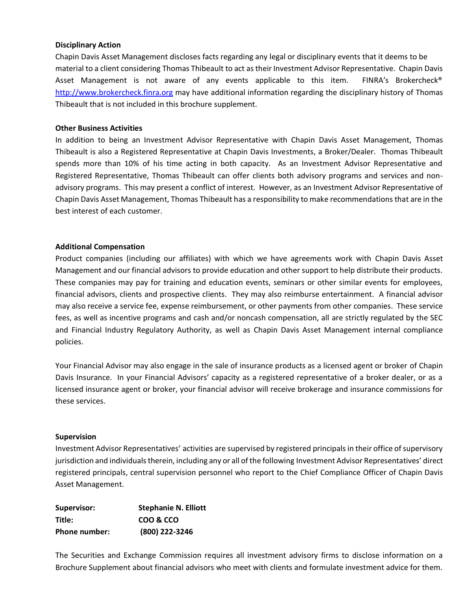### **Disciplinary Action**

Chapin Davis Asset Management discloses facts regarding any legal or disciplinary events that it deems to be material to a client considering Thomas Thibeault to act as their Investment Advisor Representative. Chapin Davis Asset Management is not aware of any events applicable to this item. FINRA's Brokercheck® [http://www.brokercheck.finra.org](http://www.brokercheck.finra.org/) may have additional information regarding the disciplinary history of Thomas Thibeault that is not included in this brochure supplement.

#### **Other Business Activities**

In addition to being an Investment Advisor Representative with Chapin Davis Asset Management, Thomas Thibeault is also a Registered Representative at Chapin Davis Investments, a Broker/Dealer. Thomas Thibeault spends more than 10% of his time acting in both capacity. As an Investment Advisor Representative and Registered Representative, Thomas Thibeault can offer clients both advisory programs and services and nonadvisory programs. This may present a conflict of interest. However, as an Investment Advisor Representative of Chapin Davis Asset Management, Thomas Thibeault has a responsibility to make recommendations that are in the best interest of each customer.

### **Additional Compensation**

Product companies (including our affiliates) with which we have agreements work with Chapin Davis Asset Management and our financial advisors to provide education and other support to help distribute their products. These companies may pay for training and education events, seminars or other similar events for employees, financial advisors, clients and prospective clients. They may also reimburse entertainment. A financial advisor may also receive a service fee, expense reimbursement, or other payments from other companies. These service fees, as well as incentive programs and cash and/or noncash compensation, all are strictly regulated by the SEC and Financial Industry Regulatory Authority, as well as Chapin Davis Asset Management internal compliance policies.

Your Financial Advisor may also engage in the sale of insurance products as a licensed agent or broker of Chapin Davis Insurance. In your Financial Advisors' capacity as a registered representative of a broker dealer, or as a licensed insurance agent or broker, your financial advisor will receive brokerage and insurance commissions for these services.

#### **Supervision**

Investment Advisor Representatives' activities are supervised by registered principals in their office of supervisory jurisdiction and individuals therein, including any or all of the following Investment Advisor Representatives' direct registered principals, central supervision personnel who report to the Chief Compliance Officer of Chapin Davis Asset Management.

| Supervisor:          | <b>Stephanie N. Elliott</b> |
|----------------------|-----------------------------|
| Title:               | COO & CCO                   |
| <b>Phone number:</b> | (800) 222-3246              |

The Securities and Exchange Commission requires all investment advisory firms to disclose information on a Brochure Supplement about financial advisors who meet with clients and formulate investment advice for them.